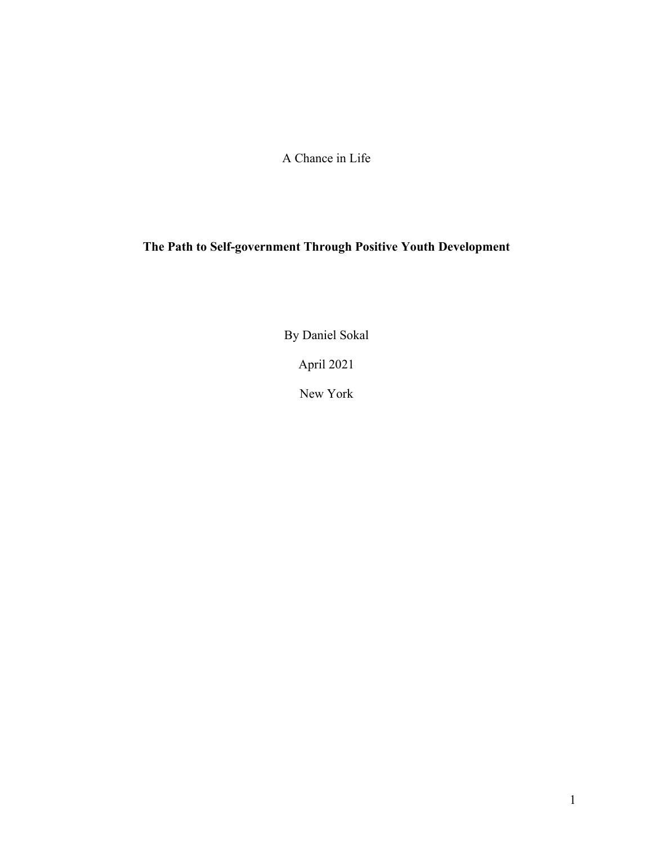A Chance in Life

## **The Path to Self-government Through Positive Youth Development**

By Daniel Sokal

April 2021

New York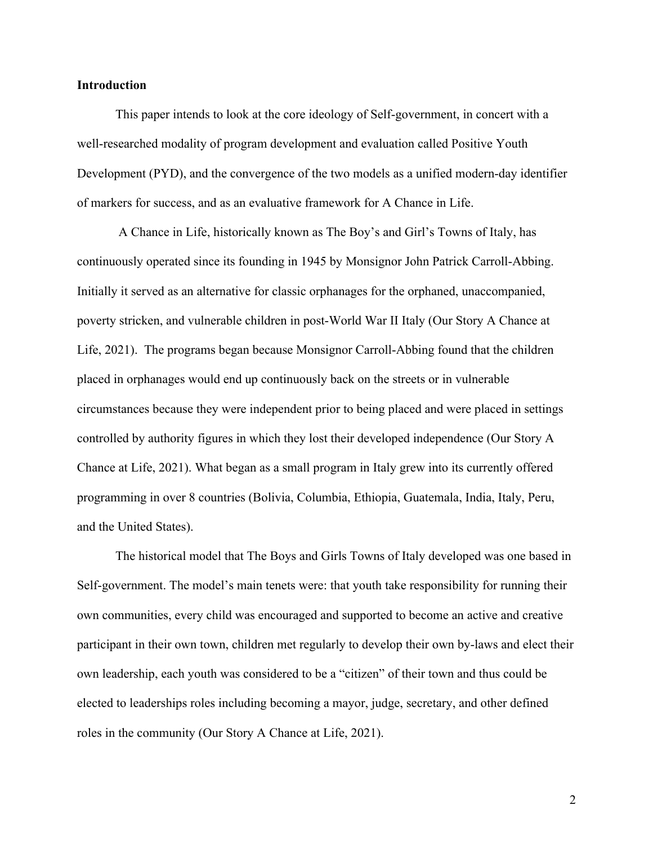## **Introduction**

This paper intends to look at the core ideology of Self-government, in concert with a well-researched modality of program development and evaluation called Positive Youth Development (PYD), and the convergence of the two models as a unified modern-day identifier of markers for success, and as an evaluative framework for A Chance in Life.

A Chance in Life, historically known as The Boy's and Girl's Towns of Italy, has continuously operated since its founding in 1945 by Monsignor John Patrick Carroll-Abbing. Initially it served as an alternative for classic orphanages for the orphaned, unaccompanied, poverty stricken, and vulnerable children in post-World War II Italy (Our Story A Chance at Life, 2021). The programs began because Monsignor Carroll-Abbing found that the children placed in orphanages would end up continuously back on the streets or in vulnerable circumstances because they were independent prior to being placed and were placed in settings controlled by authority figures in which they lost their developed independence (Our Story A Chance at Life, 2021). What began as a small program in Italy grew into its currently offered programming in over 8 countries (Bolivia, Columbia, Ethiopia, Guatemala, India, Italy, Peru, and the United States).

The historical model that The Boys and Girls Towns of Italy developed was one based in Self-government. The model's main tenets were: that youth take responsibility for running their own communities, every child was encouraged and supported to become an active and creative participant in their own town, children met regularly to develop their own by-laws and elect their own leadership, each youth was considered to be a "citizen" of their town and thus could be elected to leaderships roles including becoming a mayor, judge, secretary, and other defined roles in the community (Our Story A Chance at Life, 2021).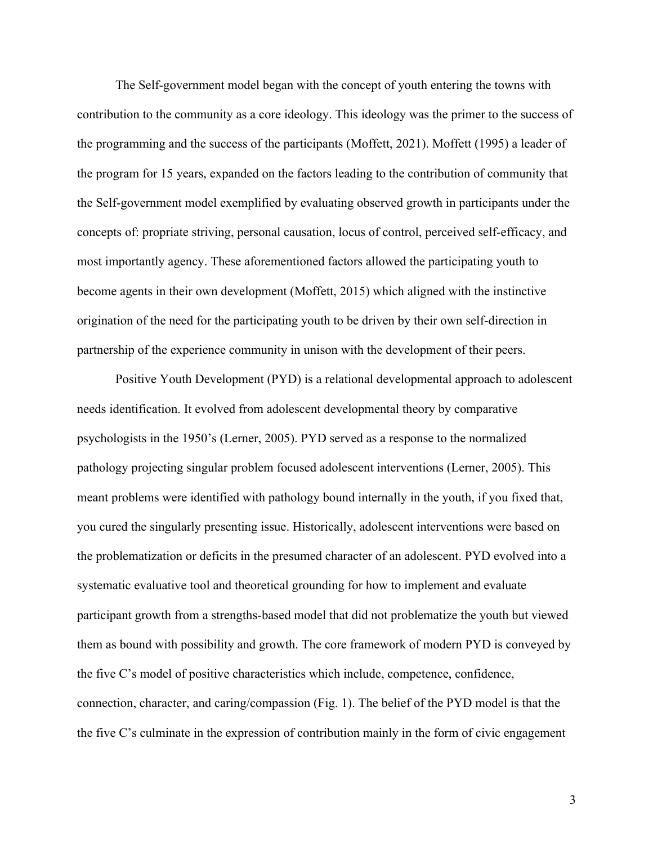The Self-government model began with the concept of youth entering the towns with contribution to the community as a core ideology. This ideology was the primer to the success of the programming and the success of the participants (Moffett, 2021). Moffett (1995) a leader of the program for 15 years, expanded on the factors leading to the contribution of community that the Self-government model exemplified by evaluating observed growth in participants under the concepts of: propriate striving, personal causation, locus of control, perceived self-efficacy, and most importantly agency. These aforementioned factors allowed the participating youth to become agents in their own development (Moffett, 2015) which aligned with the instinctive origination of the need for the participating youth to be driven by their own self-direction in partnership of the experience community in unison with the development of their peers.

Positive Youth Development (PYD) is a relational developmental approach to adolescent needs identification. It evolved from adolescent developmental theory by comparative psychologists in the 1950's (Lerner, 2005). PYD served as a response to the normalized pathology projecting singular problem focused adolescent interventions (Lerner, 2005). This meant problems were identified with pathology bound internally in the youth, if you fixed that, you cured the singularly presenting issue. Historically, adolescent interventions were based on the problematization or deficits in the presumed character of an adolescent. PYD evolved into a systematic evaluative tool and theoretical grounding for how to implement and evaluate participant growth from a strengths-based model that did not problematize the youth but viewed them as bound with possibility and growth. The core framework of modern PYD is conveyed by the five C's model of positive characteristics which include, competence, confidence, connection, character, and caring/compassion (Fig. 1). The belief of the PYD model is that the the five C's culminate in the expression of contribution mainly in the form of civic engagement

3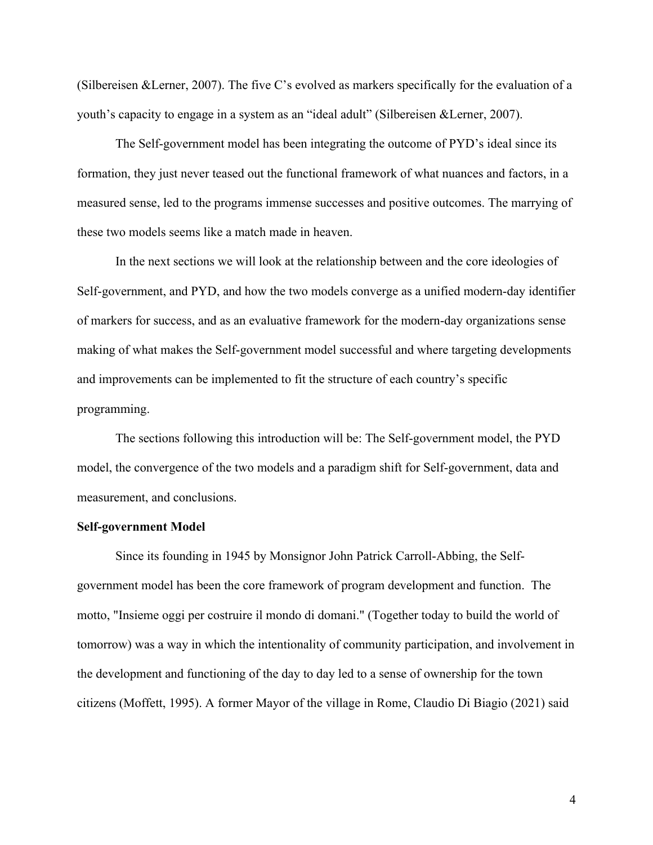(Silbereisen &Lerner, 2007). The five C's evolved as markers specifically for the evaluation of a youth's capacity to engage in a system as an "ideal adult" (Silbereisen &Lerner, 2007).

The Self-government model has been integrating the outcome of PYD's ideal since its formation, they just never teased out the functional framework of what nuances and factors, in a measured sense, led to the programs immense successes and positive outcomes. The marrying of these two models seems like a match made in heaven.

In the next sections we will look at the relationship between and the core ideologies of Self-government, and PYD, and how the two models converge as a unified modern-day identifier of markers for success, and as an evaluative framework for the modern-day organizations sense making of what makes the Self-government model successful and where targeting developments and improvements can be implemented to fit the structure of each country's specific programming.

The sections following this introduction will be: The Self-government model, the PYD model, the convergence of the two models and a paradigm shift for Self-government, data and measurement, and conclusions.

#### **Self-government Model**

Since its founding in 1945 by Monsignor John Patrick Carroll-Abbing, the Selfgovernment model has been the core framework of program development and function. The motto, "Insieme oggi per costruire il mondo di domani." (Together today to build the world of tomorrow) was a way in which the intentionality of community participation, and involvement in the development and functioning of the day to day led to a sense of ownership for the town citizens (Moffett, 1995). A former Mayor of the village in Rome, Claudio Di Biagio (2021) said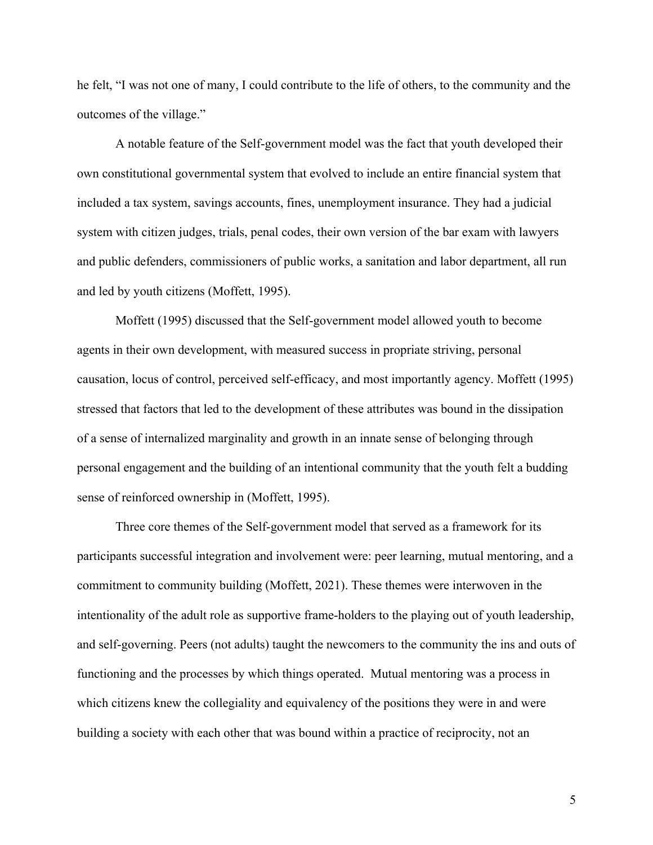he felt, "I was not one of many, I could contribute to the life of others, to the community and the outcomes of the village."

A notable feature of the Self-government model was the fact that youth developed their own constitutional governmental system that evolved to include an entire financial system that included a tax system, savings accounts, fines, unemployment insurance. They had a judicial system with citizen judges, trials, penal codes, their own version of the bar exam with lawyers and public defenders, commissioners of public works, a sanitation and labor department, all run and led by youth citizens (Moffett, 1995).

Moffett (1995) discussed that the Self-government model allowed youth to become agents in their own development, with measured success in propriate striving, personal causation, locus of control, perceived self-efficacy, and most importantly agency. Moffett (1995) stressed that factors that led to the development of these attributes was bound in the dissipation of a sense of internalized marginality and growth in an innate sense of belonging through personal engagement and the building of an intentional community that the youth felt a budding sense of reinforced ownership in (Moffett, 1995).

Three core themes of the Self-government model that served as a framework for its participants successful integration and involvement were: peer learning, mutual mentoring, and a commitment to community building (Moffett, 2021). These themes were interwoven in the intentionality of the adult role as supportive frame-holders to the playing out of youth leadership, and self-governing. Peers (not adults) taught the newcomers to the community the ins and outs of functioning and the processes by which things operated. Mutual mentoring was a process in which citizens knew the collegiality and equivalency of the positions they were in and were building a society with each other that was bound within a practice of reciprocity, not an

5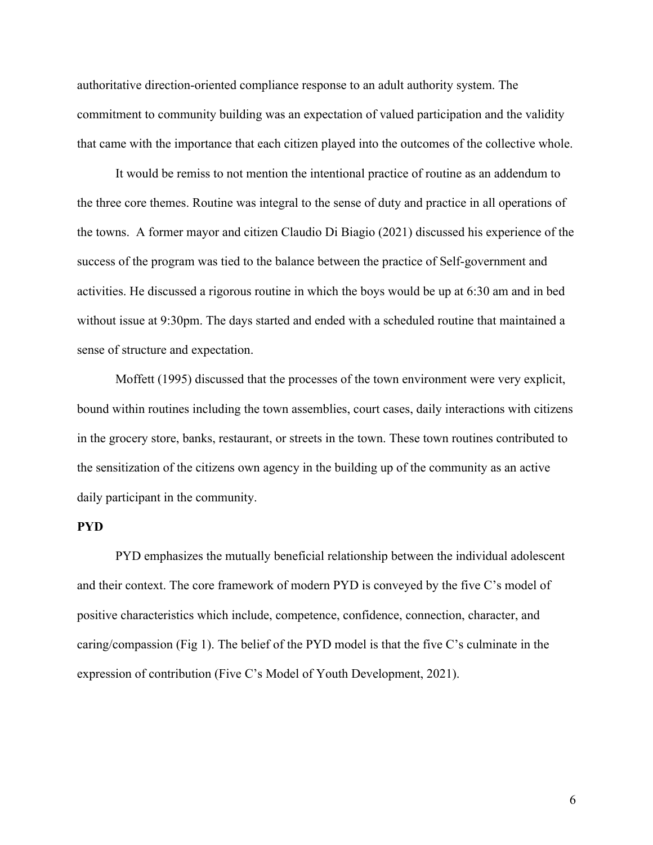authoritative direction-oriented compliance response to an adult authority system. The commitment to community building was an expectation of valued participation and the validity that came with the importance that each citizen played into the outcomes of the collective whole.

It would be remiss to not mention the intentional practice of routine as an addendum to the three core themes. Routine was integral to the sense of duty and practice in all operations of the towns. A former mayor and citizen Claudio Di Biagio (2021) discussed his experience of the success of the program was tied to the balance between the practice of Self-government and activities. He discussed a rigorous routine in which the boys would be up at 6:30 am and in bed without issue at 9:30pm. The days started and ended with a scheduled routine that maintained a sense of structure and expectation.

Moffett (1995) discussed that the processes of the town environment were very explicit, bound within routines including the town assemblies, court cases, daily interactions with citizens in the grocery store, banks, restaurant, or streets in the town. These town routines contributed to the sensitization of the citizens own agency in the building up of the community as an active daily participant in the community.

#### **PYD**

PYD emphasizes the mutually beneficial relationship between the individual adolescent and their context. The core framework of modern PYD is conveyed by the five C's model of positive characteristics which include, competence, confidence, connection, character, and caring/compassion (Fig 1). The belief of the PYD model is that the five C's culminate in the expression of contribution (Five C's Model of Youth Development, 2021).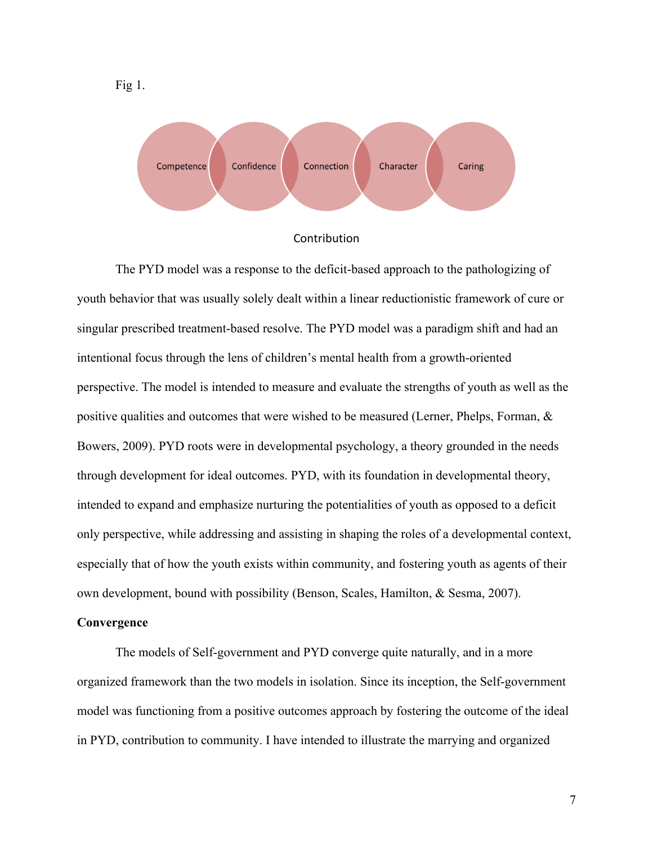



The PYD model was a response to the deficit-based approach to the pathologizing of youth behavior that was usually solely dealt within a linear reductionistic framework of cure or singular prescribed treatment-based resolve. The PYD model was a paradigm shift and had an intentional focus through the lens of children's mental health from a growth-oriented perspective. The model is intended to measure and evaluate the strengths of youth as well as the positive qualities and outcomes that were wished to be measured (Lerner, Phelps, Forman, & Bowers, 2009). PYD roots were in developmental psychology, a theory grounded in the needs through development for ideal outcomes. PYD, with its foundation in developmental theory, intended to expand and emphasize nurturing the potentialities of youth as opposed to a deficit only perspective, while addressing and assisting in shaping the roles of a developmental context, especially that of how the youth exists within community, and fostering youth as agents of their own development, bound with possibility (Benson, Scales, Hamilton, & Sesma, 2007).

## **Convergence**

The models of Self-government and PYD converge quite naturally, and in a more organized framework than the two models in isolation. Since its inception, the Self-government model was functioning from a positive outcomes approach by fostering the outcome of the ideal in PYD, contribution to community. I have intended to illustrate the marrying and organized

Fig 1.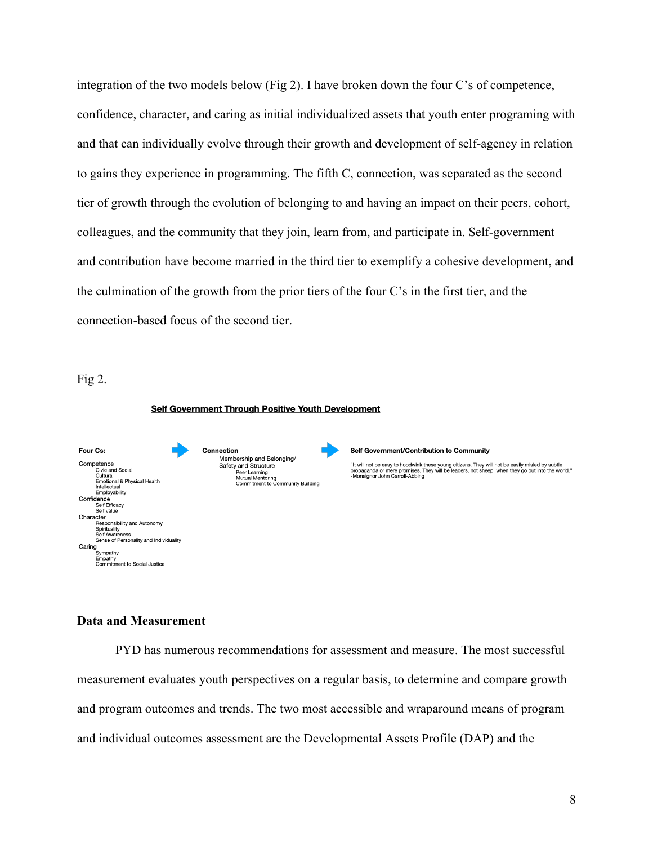integration of the two models below (Fig 2). I have broken down the four C's of competence, confidence, character, and caring as initial individualized assets that youth enter programing with and that can individually evolve through their growth and development of self-agency in relation to gains they experience in programming. The fifth C, connection, was separated as the second tier of growth through the evolution of belonging to and having an impact on their peers, cohort, colleagues, and the community that they join, learn from, and participate in. Self-government and contribution have become married in the third tier to exemplify a cohesive development, and the culmination of the growth from the prior tiers of the four C's in the first tier, and the connection-based focus of the second tier.

#### Fig 2.



## **Data and Measurement**

PYD has numerous recommendations for assessment and measure. The most successful measurement evaluates youth perspectives on a regular basis, to determine and compare growth and program outcomes and trends. The two most accessible and wraparound means of program and individual outcomes assessment are the Developmental Assets Profile (DAP) and the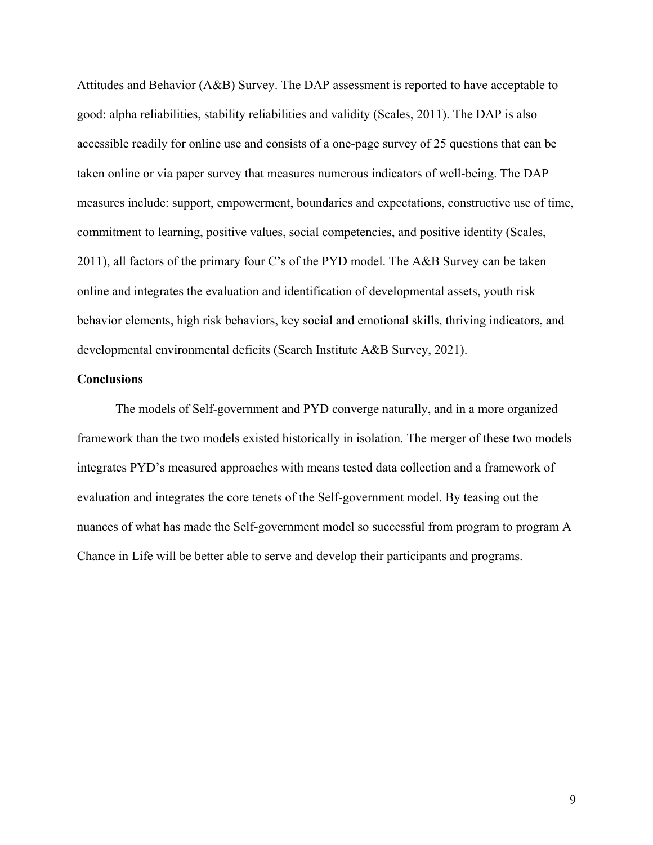Attitudes and Behavior (A&B) Survey. The DAP assessment is reported to have acceptable to good: alpha reliabilities, stability reliabilities and validity (Scales, 2011). The DAP is also accessible readily for online use and consists of a one-page survey of 25 questions that can be taken online or via paper survey that measures numerous indicators of well-being. The DAP measures include: support, empowerment, boundaries and expectations, constructive use of time, commitment to learning, positive values, social competencies, and positive identity (Scales, 2011), all factors of the primary four C's of the PYD model. The A&B Survey can be taken online and integrates the evaluation and identification of developmental assets, youth risk behavior elements, high risk behaviors, key social and emotional skills, thriving indicators, and developmental environmental deficits (Search Institute A&B Survey, 2021).

## **Conclusions**

The models of Self-government and PYD converge naturally, and in a more organized framework than the two models existed historically in isolation. The merger of these two models integrates PYD's measured approaches with means tested data collection and a framework of evaluation and integrates the core tenets of the Self-government model. By teasing out the nuances of what has made the Self-government model so successful from program to program A Chance in Life will be better able to serve and develop their participants and programs.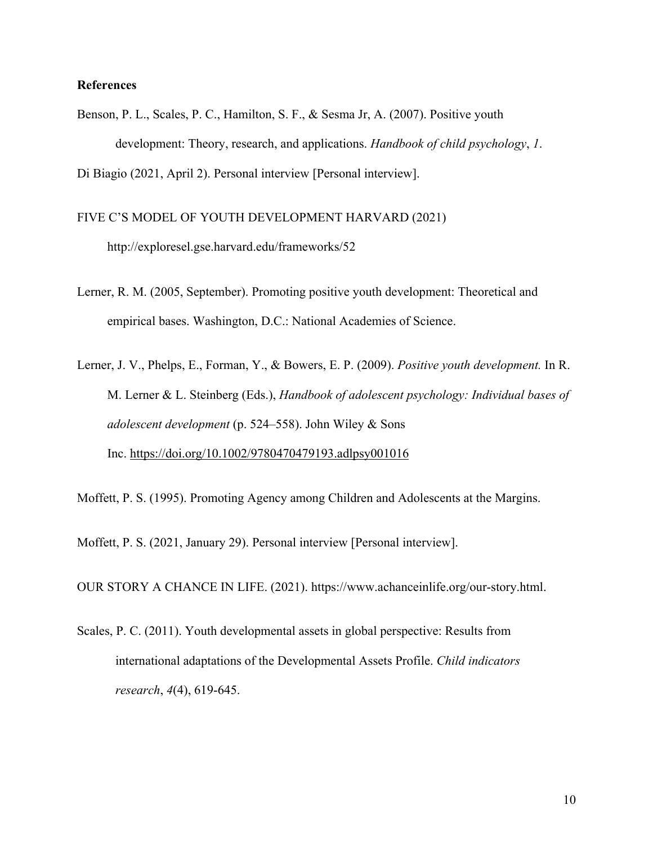## **References**

Benson, P. L., Scales, P. C., Hamilton, S. F., & Sesma Jr, A. (2007). Positive youth development: Theory, research, and applications. *Handbook of child psychology*, *1*. Di Biagio (2021, April 2). Personal interview [Personal interview].

FIVE C'S MODEL OF YOUTH DEVELOPMENT HARVARD (2021) http://exploresel.gse.harvard.edu/frameworks/52

- Lerner, R. M. (2005, September). Promoting positive youth development: Theoretical and empirical bases. Washington, D.C.: National Academies of Science.
- Lerner, J. V., Phelps, E., Forman, Y., & Bowers, E. P. (2009). *Positive youth development.* In R. M. Lerner & L. Steinberg (Eds.), *Handbook of adolescent psychology: Individual bases of adolescent development* (p. 524–558). John Wiley & Sons Inc. https://doi.org/10.1002/9780470479193.adlpsy001016

Moffett, P. S. (1995). Promoting Agency among Children and Adolescents at the Margins.

Moffett, P. S. (2021, January 29). Personal interview [Personal interview].

OUR STORY A CHANCE IN LIFE. (2021). https://www.achanceinlife.org/our-story.html.

Scales, P. C. (2011). Youth developmental assets in global perspective: Results from international adaptations of the Developmental Assets Profile. *Child indicators research*, *4*(4), 619-645.